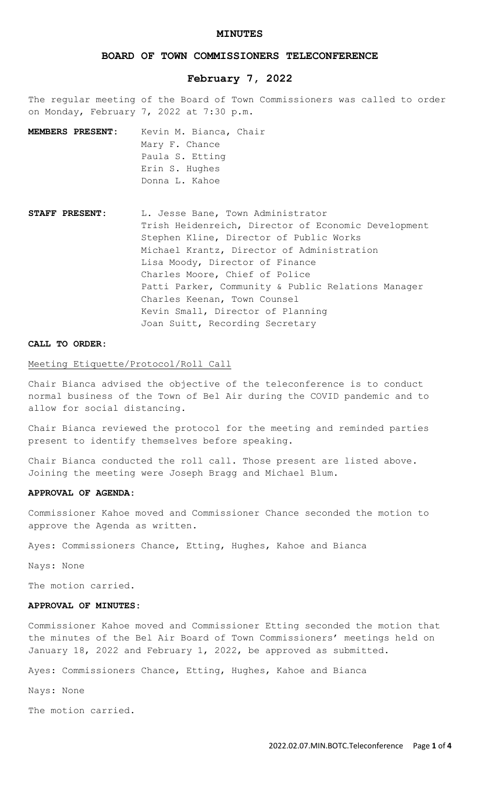## **MINUTES**

# **BOARD OF TOWN COMMISSIONERS TELECONFERENCE**

# **February 7, 2022**

The regular meeting of the Board of Town Commissioners was called to order on Monday, February 7, 2022 at 7:30 p.m.

**MEMBERS PRESENT:** Kevin M. Bianca, Chair Mary F. Chance Paula S. Etting Erin S. Hughes Donna L. Kahoe

**STAFF PRESENT:** L. Jesse Bane, Town Administrator Trish Heidenreich, Director of Economic Development Stephen Kline, Director of Public Works Michael Krantz, Director of Administration Lisa Moody, Director of Finance Charles Moore, Chief of Police Patti Parker, Community & Public Relations Manager Charles Keenan, Town Counsel Kevin Small, Director of Planning Joan Suitt, Recording Secretary

## **CALL TO ORDER:**

## Meeting Etiquette/Protocol/Roll Call

Chair Bianca advised the objective of the teleconference is to conduct normal business of the Town of Bel Air during the COVID pandemic and to allow for social distancing.

Chair Bianca reviewed the protocol for the meeting and reminded parties present to identify themselves before speaking.

Chair Bianca conducted the roll call. Those present are listed above. Joining the meeting were Joseph Bragg and Michael Blum.

#### **APPROVAL OF AGENDA:**

Commissioner Kahoe moved and Commissioner Chance seconded the motion to approve the Agenda as written.

Ayes: Commissioners Chance, Etting, Hughes, Kahoe and Bianca

Nays: None

The motion carried.

## **APPROVAL OF MINUTES:**

Commissioner Kahoe moved and Commissioner Etting seconded the motion that the minutes of the Bel Air Board of Town Commissioners' meetings held on January 18, 2022 and February 1, 2022, be approved as submitted.

Ayes: Commissioners Chance, Etting, Hughes, Kahoe and Bianca

Nays: None

The motion carried.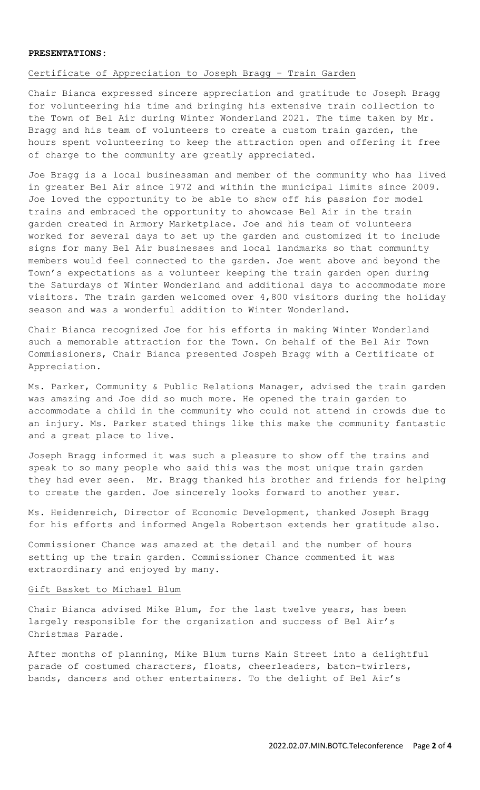#### **PRESENTATIONS:**

## Certificate of Appreciation to Joseph Bragg – Train Garden

Chair Bianca expressed sincere appreciation and gratitude to Joseph Bragg for volunteering his time and bringing his extensive train collection to the Town of Bel Air during Winter Wonderland 2021. The time taken by Mr. Bragg and his team of volunteers to create a custom train garden, the hours spent volunteering to keep the attraction open and offering it free of charge to the community are greatly appreciated.

Joe Bragg is a local businessman and member of the community who has lived in greater Bel Air since 1972 and within the municipal limits since 2009. Joe loved the opportunity to be able to show off his passion for model trains and embraced the opportunity to showcase Bel Air in the train garden created in Armory Marketplace. Joe and his team of volunteers worked for several days to set up the garden and customized it to include signs for many Bel Air businesses and local landmarks so that community members would feel connected to the garden. Joe went above and beyond the Town's expectations as a volunteer keeping the train garden open during the Saturdays of Winter Wonderland and additional days to accommodate more visitors. The train garden welcomed over 4,800 visitors during the holiday season and was a wonderful addition to Winter Wonderland.

Chair Bianca recognized Joe for his efforts in making Winter Wonderland such a memorable attraction for the Town. On behalf of the Bel Air Town Commissioners, Chair Bianca presented Jospeh Bragg with a Certificate of Appreciation.

Ms. Parker, Community & Public Relations Manager, advised the train garden was amazing and Joe did so much more. He opened the train garden to accommodate a child in the community who could not attend in crowds due to an injury. Ms. Parker stated things like this make the community fantastic and a great place to live.

Joseph Bragg informed it was such a pleasure to show off the trains and speak to so many people who said this was the most unique train garden they had ever seen. Mr. Bragg thanked his brother and friends for helping to create the garden. Joe sincerely looks forward to another year.

Ms. Heidenreich, Director of Economic Development, thanked Joseph Bragg for his efforts and informed Angela Robertson extends her gratitude also.

Commissioner Chance was amazed at the detail and the number of hours setting up the train garden. Commissioner Chance commented it was extraordinary and enjoyed by many.

## Gift Basket to Michael Blum

Chair Bianca advised Mike Blum, for the last twelve years, has been largely responsible for the organization and success of Bel Air's Christmas Parade.

After months of planning, Mike Blum turns Main Street into a delightful parade of costumed characters, floats, cheerleaders, baton-twirlers, bands, dancers and other entertainers. To the delight of Bel Air's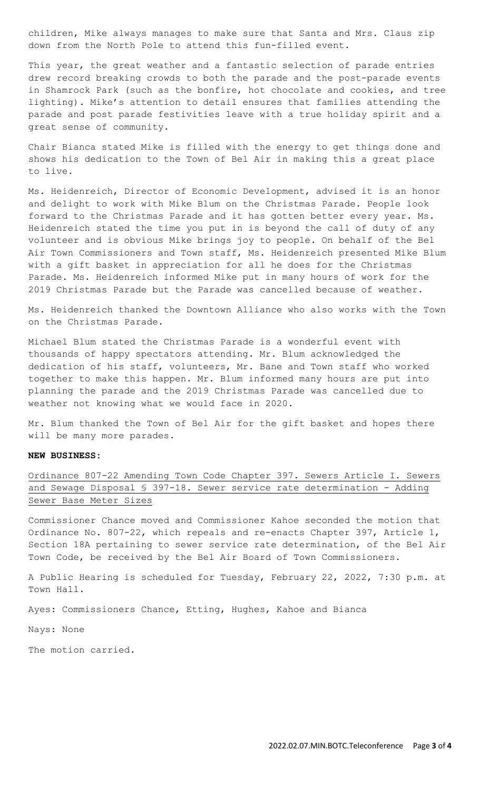children, Mike always manages to make sure that Santa and Mrs. Claus zip down from the North Pole to attend this fun-filled event.

This year, the great weather and a fantastic selection of parade entries drew record breaking crowds to both the parade and the post-parade events in Shamrock Park (such as the bonfire, hot chocolate and cookies, and tree lighting). Mike's attention to detail ensures that families attending the parade and post parade festivities leave with a true holiday spirit and a great sense of community.

Chair Bianca stated Mike is filled with the energy to get things done and shows his dedication to the Town of Bel Air in making this a great place to live.

Ms. Heidenreich, Director of Economic Development, advised it is an honor and delight to work with Mike Blum on the Christmas Parade. People look forward to the Christmas Parade and it has gotten better every year. Ms. Heidenreich stated the time you put in is beyond the call of duty of any volunteer and is obvious Mike brings joy to people. On behalf of the Bel Air Town Commissioners and Town staff, Ms. Heidenreich presented Mike Blum with a gift basket in appreciation for all he does for the Christmas Parade. Ms. Heidenreich informed Mike put in many hours of work for the 2019 Christmas Parade but the Parade was cancelled because of weather.

Ms. Heidenreich thanked the Downtown Alliance who also works with the Town on the Christmas Parade.

Michael Blum stated the Christmas Parade is a wonderful event with thousands of happy spectators attending. Mr. Blum acknowledged the dedication of his staff, volunteers, Mr. Bane and Town staff who worked together to make this happen. Mr. Blum informed many hours are put into planning the parade and the 2019 Christmas Parade was cancelled due to weather not knowing what we would face in 2020.

Mr. Blum thanked the Town of Bel Air for the gift basket and hopes there will be many more parades.

## **NEW BUSINESS:**

Ordinance 807-22 Amending Town Code Chapter 397. Sewers Article I. Sewers and Sewage Disposal § 397-18. Sewer service rate determination - Adding Sewer Base Meter Sizes

Commissioner Chance moved and Commissioner Kahoe seconded the motion that Ordinance No. 807-22, which repeals and re-enacts Chapter 397, Article 1, Section 18A pertaining to sewer service rate determination, of the Bel Air Town Code, be received by the Bel Air Board of Town Commissioners.

A Public Hearing is scheduled for Tuesday, February 22, 2022, 7:30 p.m. at Town Hall.

Ayes: Commissioners Chance, Etting, Hughes, Kahoe and Bianca

Nays: None

The motion carried.